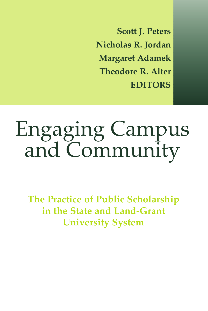**Scott J. Peters Nicholas R. Jordan Margaret Adamek Theodore R. Alter EDITORS**

# Engaging Campus and Community

**The Practice of Public Scholarship in the State and Land-Grant University System**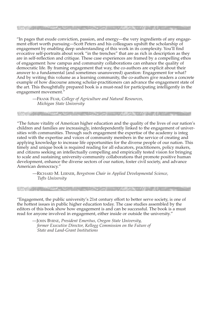"In pages that exude conviction, passion, and energy—the very ingredients of any engagement effort worth pursuing—Scott Peters and his colleagues upshift the scholarship of engagement by enabling deep understanding of this work in its complexity. You'll find evocative self-portraits about work "in the trenches" that are as rich in description as they are in self-reflection and critique. These case experiences are framed by a compelling ethos of engagement: how campus and community collaborations can enhance the quality of democratic life. By framing engagement that way, the co-authors are explicit about their answer to a fundamental (and sometimes unanswered) question: Engagement for what? And by writing this volume as a learning community, the co-authors give readers a concrete example of how discourse among scholar-practitioners can advance the engagement state of the art. This thoughtfully prepared book is a must-read for participating intelligently in the engagement movement."

—FRANK FEAR, *College of Agriculture and Natural Resources, Michigan State University*

"The future vitality of American higher education and the quality of the lives of our nation's children and families are increasingly, interdependently linked to the engagement of universities with communities. Through such engagement the expertise of the academy is integ rated with the expertise and voices of community members in the service of creating and applying knowledge to increase life opportunities for the diverse people of our nation. This timely and unique book is required reading for all educators, practitioners, policy makers, and citizens seeking an intellectually compelling and empirically tested vision for bringing to scale and sustaining university-community collaborations that promote positive human development, enhance the diverse sectors of our nation, foster civil society, and advance American democracy."

—RICHARD M. LERNER, *Bergstrom Chair in Applied Developmental Science, Tufts University*

"Engagement, the public university's 21st century effort to better serve society, is one of the hottest issues in public higher education today. The case studies assembled by the editors of this book show how engagement is and can be successful. The book is a must read for anyone involved in engagement, either inside or outside the university."

—JOHN BYRNE, *President Emeritus, Oregon State University, former Executive Director, Kellogg Commission on the Future of State and Land-Grant Institutions*

전 아들의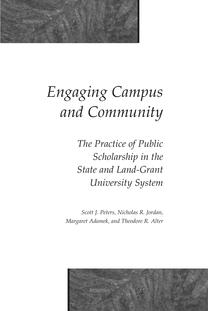

# *Engaging Campus and Community*

*The Practice of Public Scholarship in the State and Land-Grant University System*

*Scott J. Peters, Nicholas R. Jordan, Margaret Adamek, and Theodore R. Alter*

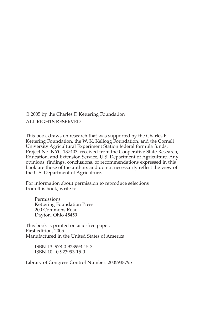#### © 2005 by the Charles F. Kettering Foundation ALL RIGHTS RESERVED

This book draws on research that was supported by the Charles F. Kettering Foundation, the W. K. Kellogg Foundation, and the Cornell University Agricultural Experiment Station federal formula funds, Project No. NYC-137403, received from the Cooperative State Research, Education, and Extension Service, U.S. Department of Agriculture. Any opinions, findings, conclusions, or recommendations expressed in this book are those of the authors and do not necessarily reflect the view of the U.S. Department of Agriculture.

For information about permission to reproduce selections from this book, write to:

Permissions Kettering Foundation Press 200 Commons Road Dayton, Ohio 45459

This book is printed on acid-free paper. First edition, 2005 Manufactured in the United States of America

ISBN-13: 978-0-923993-15-3 ISBN-10: 0-923993-15-0

Library of Congress Control Number: 2005938795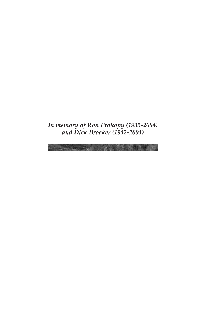## *In memory of Ron Prokopy (1935-2004) and Dick Broeker (1942-2004)*

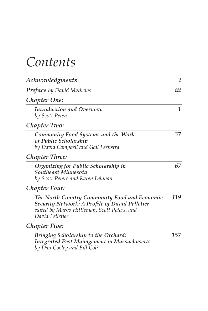## *Contents*

| Acknowledgments                                                                                                                                                    | $\mathbf{1}$ |
|--------------------------------------------------------------------------------------------------------------------------------------------------------------------|--------------|
| <b>Preface</b> by David Mathews                                                                                                                                    | iii          |
| Chapter One:                                                                                                                                                       |              |
| Introduction and Overview<br>by Scott Peters                                                                                                                       | 1            |
| Chapter Two:                                                                                                                                                       |              |
| <b>Community Food Systems and the Work</b><br>of Public Scholarship<br>by David Campbell and Gail Feenstra                                                         | 37           |
| <b>Chapter Three:</b>                                                                                                                                              |              |
| Organizing for Public Scholarship in<br><b>Southeast Minnesota</b><br>by Scott Peters and Karen Lehman                                                             | 67           |
| <b>Chapter Four:</b>                                                                                                                                               |              |
| The North Country Community Food and Economic<br>Security Network: A Profile of David Pelletier<br>edited by Margo Hittleman, Scott Peters, and<br>David Pelletier | 119          |
| <b>Chapter Five:</b>                                                                                                                                               |              |
| Bringing Scholarship to the Orchard:<br><b>Integrated Pest Management in Massachusetts</b><br>by Dan Cooley and Bill Coli                                          | 157          |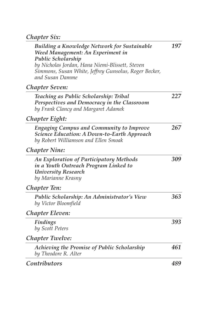## *Chapter Six:*

| Building a Knowledge Network for Sustainable<br>Weed Management: An Experiment in<br><b>Public Scholarship</b><br>by Nicholas Jordan, Hana Niemi-Blissett, Steven<br>Simmons, Susan White, Jeffrey Gunsolus, Roger Becker,<br>and Susan Damme | 197 |
|-----------------------------------------------------------------------------------------------------------------------------------------------------------------------------------------------------------------------------------------------|-----|
| Chapter Seven:                                                                                                                                                                                                                                |     |
| Teaching as Public Scholarship: Tribal<br>Perspectives and Democracy in the Classroom<br>by Frank Clancy and Margaret Adamek                                                                                                                  | 227 |
| Chapter Eight:                                                                                                                                                                                                                                |     |
| <b>Engaging Campus and Community to Improve</b><br><b>Science Education: A Down-to-Earth Approach</b><br>by Robert Williamson and Ellen Smoak                                                                                                 | 267 |
| <b>Chapter Nine:</b>                                                                                                                                                                                                                          |     |
| <b>An Exploration of Participatory Methods</b><br>in a Youth Outreach Program Linked to<br><b>University Research</b><br>by Marianne Krasny                                                                                                   | 309 |
| Chapter Ten:                                                                                                                                                                                                                                  |     |
| Public Scholarship: An Administrator's View<br>by Victor Bloomfield                                                                                                                                                                           | 363 |
| Chapter Eleven:                                                                                                                                                                                                                               |     |
| <b>Findings</b><br>by Scott Peters                                                                                                                                                                                                            | 393 |
| <b>Chapter Twelve:</b>                                                                                                                                                                                                                        |     |
| Achieving the Promise of Public Scholarship<br>by Theodore R. Alter                                                                                                                                                                           | 461 |
| <b>Contributors</b>                                                                                                                                                                                                                           | 489 |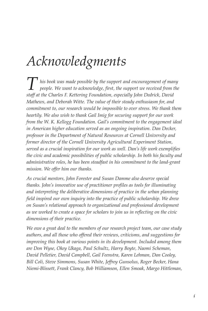# *Acknowledgments*

*his book was made possible by the support and encouragement of many people. We want to acknowledge, first, the support we received from the staff at the Charles F. Kettering Foundation, especially John Dedrick, David Mathews, and Deborah Witte. The value of their steady enthusiasm for, and commitment to, our research would be impossible to over stress. We thank them heartily. We also wish to thank Gail Imig for securing support for our work from the W. K. Kellogg Foundation. Gail's commitment to the engagement ideal in American higher education served as an ongoing inspiration. Dan Decker, professor in the Department of Natural Resources at Cornell University and former director of the Cornell University Agricultural Experiment Station, served as a crucial inspiration for our work as well. Dan's life work exemplifies the civic and academic possibilities of public scholarship. In both his faculty and administrative roles, he has been steadfast in his commitment to the land-grant mission. We offer him our thanks. T*

*As crucial mentors, John Forester and Susan Damme also deserve special thanks. John's innovative use of practitioner profiles as tools for illuminating and interpreting the deliberative dimensions of practice in the urban planning field inspired our own inquiry into the practice of public scholarship. We drew on Susan's relational approach to organizational and professional development as we worked to create a space for scholars to join us in reflecting on the civic dimensions of their practice.*

*We owe a great deal to the members of our research project team, our case study authors, and all those who offered their reviews, criticisms, and suggestions for improving this book at various points in its development. Included among them are Don Wyse, Okey Ukaga, Paul Schultz, Harry Boyte, Naomi Scheman, David Pelletier, David Campbell, Gail Feenstra, Karen Lehman, Dan Cooley, Bill Coli, Steve Simmons, Susan White, Jeffrey Gunsolus, Roger Becker, Hana Niemi-Blissett, Frank Clancy, Bob Williamson, Ellen Smoak, Margo Hittleman,*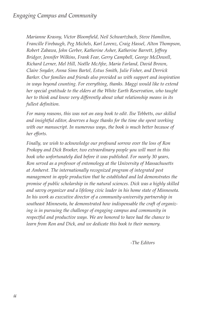### *Engaging Campus and Community*

*Marianne Krasny, Victor Bloomfield, Neil Schwartzbach, Steve Hamilton, Francille Firebaugh, Peg Michels, Karl Lorenz, Craig Hassel, Alton Thompson, Robert Zabawa, John Gerber, Katherine Asher, Katherine Barrett, Jeffrey Bridger, Jennifer Wilkins, Frank Fear, Gerry Campbell, George McDowell, Richard Lerner, Mel Hill, Noëlle McAfee, Maria Farland, David Brown, Claire Snyder, Anna Sims Bartel, Estus Smith, Julie Fisher, and Derrick Barker. Our families and friends also provided us with support and inspiration in ways beyond counting. For everything, thanks. Maggi would like to extend her special gratitude to the elders at the White Earth Reservation, who taught her to think and know very differently about what relationship means in its fullest definition.*

*For many reasons, this was not an easy book to edit. Ilse Tebbetts, our skilled and insightful editor, deserves a huge thanks for the time she spent working with our manuscript. In numerous ways, the book is much better because of her efforts.*

*Finally, we wish to acknowledge our profound sorrow over the loss of Ron Prokopy and Dick Broeker, two extraordinary people you will meet in this book who unfortunately died before it was published. For nearly 30 years, Ron served as a professor of entomology at the University of Massachusetts at Amherst. The internationally recognized program of integrated pest management in apple production that he established and led demonstrates the promise of public scholarship in the natural sciences. Dick was a highly skilled and savvy organizer and a lifelong civic leader in his home state of Minnesota. In his work as executive director of a community-university partnership in southeast Minnesota, he demonstrated how indispensable the craft of organizing is in pursuing the challenge of engaging campus and community in respectful and productive ways. We are honored to have had the chance to learn from Ron and Dick, and we dedicate this book to their memory.*

*-The Editors*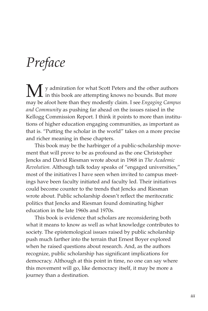# *Preface*

y admiration for what Scott Peters and the other authors **M** y admiration for what Scott Peters and the other authors in this book are attempting knows no bounds. But more may be afoot here than they modestly claim. I see *Engaging Campus and Community* as pushing far ahead on the issues raised in the Kellogg Commission Report. I think it points to more than institutions of higher education engaging communities, as important as that is. "Putting the scholar in the world" takes on a more precise and richer meaning in these chapters.

This book may be the harbinger of a public-scholarship movement that will prove to be as profound as the one Christopher Jencks and David Riesman wrote about in 1968 in *The Academic Revolution.* Although talk today speaks of "engaged universities," most of the initiatives I have seen when invited to campus meetings have been faculty initiated and faculty led. Their initiatives could become counter to the trends that Jencks and Riesman wrote about. Public scholarship doesn't reflect the meritocratic politics that Jencks and Riesman found dominating higher education in the late 1960s and 1970s.

This book is evidence that scholars are reconsidering both what it means to know as well as what knowledge contributes to society. The epistemological issues raised by public scholarship push much farther into the terrain that Ernest Boyer explored when he raised questions about research. And, as the authors recognize, public scholarship has significant implications for democracy. Although at this point in time, no one can say where this movement will go, like democracy itself, it may be more a journey than a destination.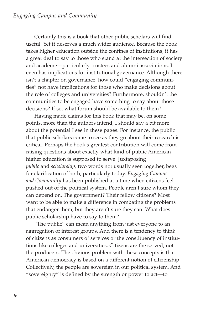### *Engaging Campus and Community*

Certainly this is a book that other public scholars will find useful. Yet it deserves a much wider audience. Because the book takes higher education outside the confines of institutions, it has a great deal to say to those who stand at the intersection of society and academe—particularly trustees and alumni associations. It even has implications for institutional governance. Although there isn't a chapter on governance, how could "engaging communities" not have implications for those who make decisions about the role of colleges and universities? Furthermore, shouldn't the communities to be engaged have something to say about those decisions? If so, what forum should be available to them?

Having made claims for this book that may be, on some points, more than the authors intend, I should say a bit more about the potential I see in these pages. For instance, the public that public scholars come to see as they go about their research is critical. Perhaps the book's greatest contribution will come from raising questions about exactly what kind of public American higher education is supposed to serve. Juxtaposing *public* and *scholarship,* two words not usually seen together, begs for clarification of both, particularly today. *Engaging Campus and Community* has been published at a time when citizens feel pushed out of the political system. People aren't sure whom they can depend on. The government? Their fellow citizens? Most want to be able to make a difference in combating the problems that endanger them, but they aren't sure they can. What does public scholarship have to say to them?

"The public" can mean anything from just everyone to an aggregation of interest groups. And there is a tendency to think of citizens as consumers of services or the constituency of institutions like colleges and universities. Citizens are the served, not the producers. The obvious problem with these concepts is that American democracy is based on a different notion of citizenship. Collectively, the people are sovereign in our political system. And "sovereignty" is defined by the strength or power to act—to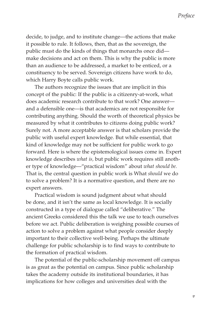decide, to judge, and to institute change—the actions that make it possible to rule. It follows, then, that as the sovereign, the public must do the kinds of things that monarchs once did make decisions and act on them. This is why the public is more than an audience to be addressed, a market to be enticed, or a constituency to be served. Sovereign citizens have work to do, which Harry Boyte calls public work.

The authors recognize the issues that are implicit in this concept of the public: If the public is a citizenry-at-work, what does academic research contribute to that work? One answer and a defensible one—is that academics are not responsible for contributing anything. Should the worth of theoretical physics be measured by what it contributes to citizens doing public work? Surely not. A more acceptable answer is that scholars provide the public with useful expert knowledge. But while essential, that kind of knowledge may not be sufficient for public work to go forward. Here is where the epistemological issues come in. Expert knowledge describes *what is,* but public work requires still another type of knowledge—"practical wisdom" about *what should be.* That is, the central question in public work is What *should* we do to solve a problem? It is a normative question, and there are no expert answers.

Practical wisdom is sound judgment about what should be done, and it isn't the same as local knowledge. It is socially constructed in a type of dialogue called "deliberative." The ancient Greeks considered this the talk we use to teach ourselves before we act. Public deliberation is weighing possible courses of action to solve a problem against what people consider deeply important to their collective well-being. Perhaps the ultimate challenge for public scholarship is to find ways to contribute to the formation of practical wisdom.

The potential of the public-scholarship movement off campus is as great as the potential on campus. Since public scholarship takes the academy outside its institutional boundaries, it has implications for how colleges and universities deal with the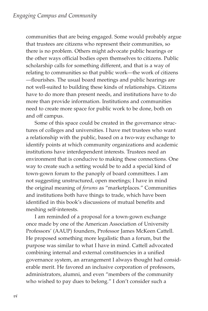communities that are being engaged. Some would probably argue that trustees are citizens who represent their communities, so there is no problem. Others might advocate public hearings or the other ways official bodies open themselves to citizens. Public scholarship calls for something different, and that is a way of relating to communities so that public work—the work of citizens —flourishes. The usual board meetings and public hearings are not well-suited to building these kinds of relationships. Citizens have to do more than present needs, and institutions have to do more than provide information. Institutions and communities need to create more space for public work to be done, both on and off campus.

Some of this space could be created in the governance structures of colleges and universities. I have met trustees who want a relationship with the public, based on a two-way exchange to identify points at which community organizations and academic institutions have interdependent interests. Trustees need an environment that is conducive to making these connections. One way to create such a setting would be to add a special kind of town-gown forum to the panoply of board committees. I am not suggesting unstructured, open meetings; I have in mind the original meaning of *forums* as "marketplaces." Communities and institutions both have things to trade, which have been identified in this book's discussions of mutual benefits and meshing self-interests.

I am reminded of a proposal for a town-gown exchange once made by one of the American Association of University Professors' (AAUP) founders, Professor James McKeen Cattell. He proposed something more legalistic than a forum, but the purpose was similar to what I have in mind. Cattell advocated combining internal and external constituencies in a unified governance system, an arrangement I always thought had considerable merit. He favored an inclusive corporation of professors, administrators, alumni, and even "members of the community who wished to pay dues to belong." I don't consider such a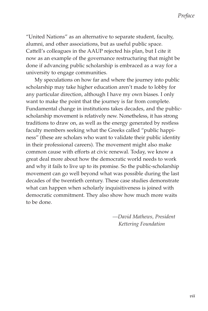"United Nations" as an alternative to separate student, faculty, alumni, and other associations, but as useful public space. Cattell's colleagues in the AAUP rejected his plan, but I cite it now as an example of the governance restructuring that might be done if advancing public scholarship is embraced as a way for a university to engage communities.

My speculations on how far and where the journey into public scholarship may take higher education aren't made to lobby for any particular direction, although I have my own biases. I only want to make the point that the journey is far from complete. Fundamental change in institutions takes decades, and the publicscholarship movement is relatively new. Nonetheless, it has strong traditions to draw on, as well as the energy generated by restless faculty members seeking what the Greeks called "public happiness" (these are scholars who want to validate their public identity in their professional careers). The movement might also make common cause with efforts at civic renewal. Today, we know a great deal more about how the democratic world needs to work and why it fails to live up to its promise. So the public-scholarship movement can go well beyond what was possible during the last decades of the twentieth century. These case studies demonstrate what can happen when scholarly inquisitiveness is joined with democratic commitment. They also show how much more waits to be done.

> *—David Mathews, President Kettering Foundation*